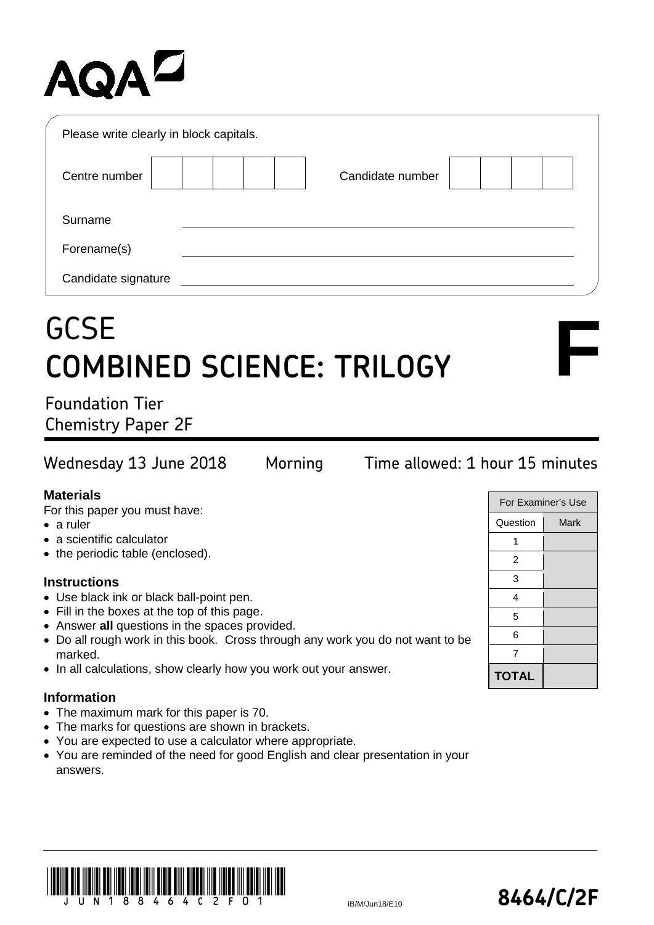# AQAZ

| Please write clearly in block capitals. |                  |  |
|-----------------------------------------|------------------|--|
| Centre number                           | Candidate number |  |
| Surname                                 |                  |  |
| Forename(s)                             |                  |  |
| Candidate signature                     |                  |  |

## GCSE **COMBINED SCIENCE: TRILOGY**

## Foundation Tier Chemistry Paper 2F

#### **Materials**

For this paper you must have:

- a ruler
- a scientific calculator
- the periodic table (enclosed).

#### **Instructions**

- Use black ink or black ball-point pen.
- Fill in the boxes at the top of this page.
- Answer **all** questions in the spaces provided.
- Do all rough work in this book. Cross through any work you do not want to be marked.
- In all calculations, show clearly how you work out your answer.

#### **Information**

- The maximum mark for this paper is 70.
- The marks for questions are shown in brackets.
- You are expected to use a calculator where appropriate.
- You are reminded of the need for good English and clear presentation in your answers.



**F**





### Wednesday 13 June 2018 Morning Time allowed: 1 hour 15 minutes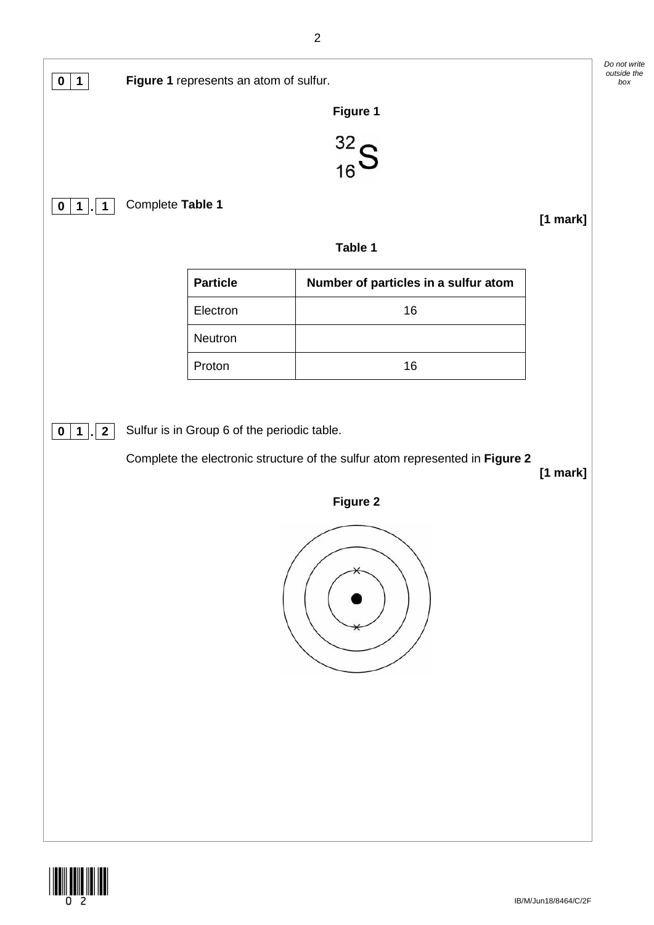| $\mathbf{0}$<br>$\mathbf 1$ |                                        |                                      |          |
|-----------------------------|----------------------------------------|--------------------------------------|----------|
|                             | Figure 1 represents an atom of sulfur. | Figure 1                             |          |
|                             |                                        |                                      |          |
|                             |                                        | $\frac{32}{16}S$                     |          |
|                             |                                        |                                      |          |
| $\bf{0}$<br>1<br>1          | Complete Table 1                       |                                      | [1 mark] |
|                             |                                        |                                      |          |
|                             |                                        | Table 1                              |          |
|                             | <b>Particle</b>                        | Number of particles in a sulfur atom |          |
|                             | Electron                               | 16                                   |          |
|                             | Neutron                                |                                      |          |
|                             | Proton                                 | $16$                                 |          |
|                             |                                        | Figure 2                             |          |
|                             |                                        |                                      |          |



*Do not write outside the*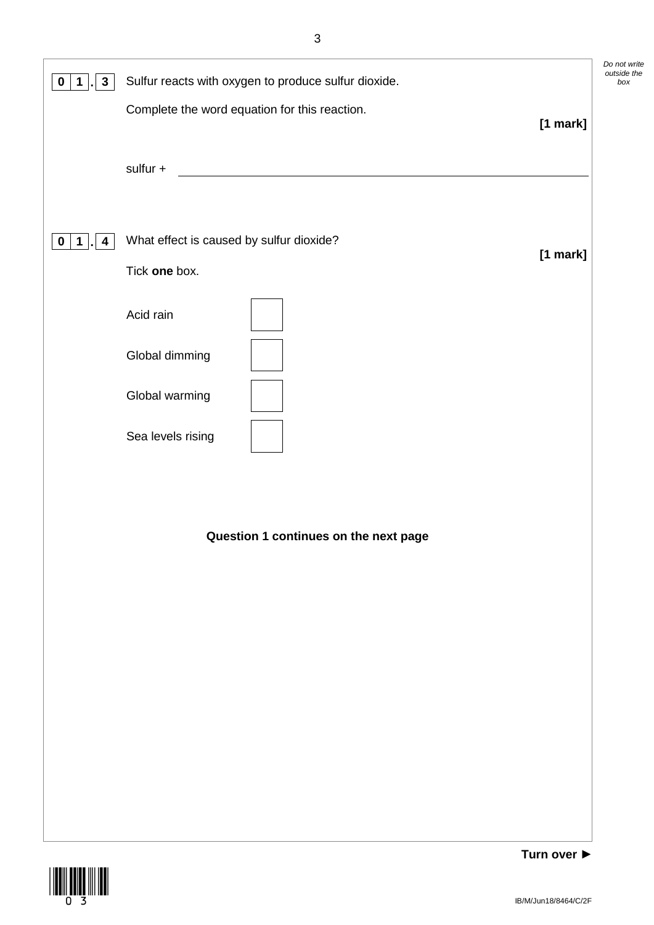

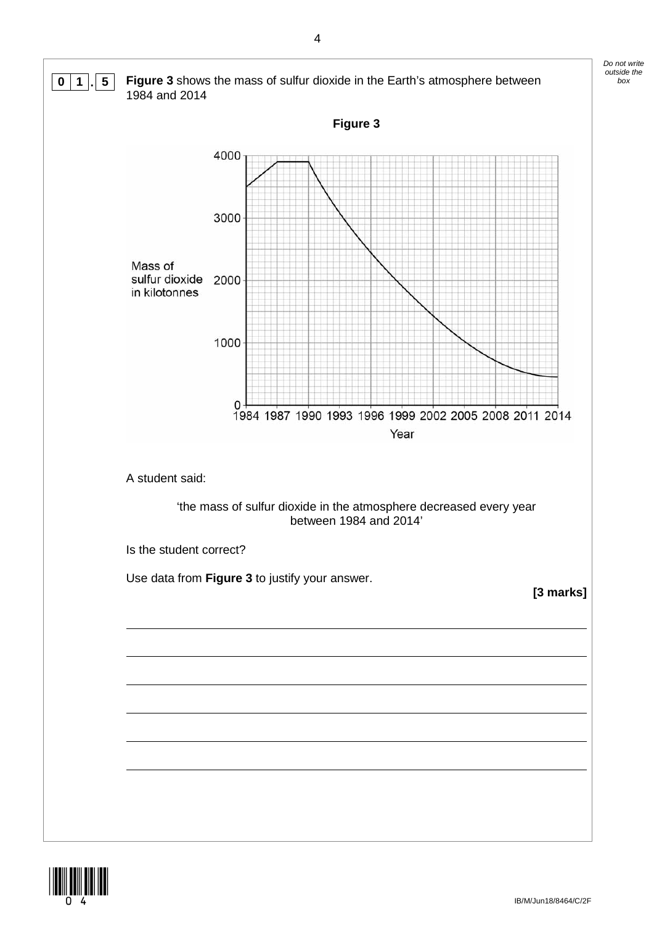

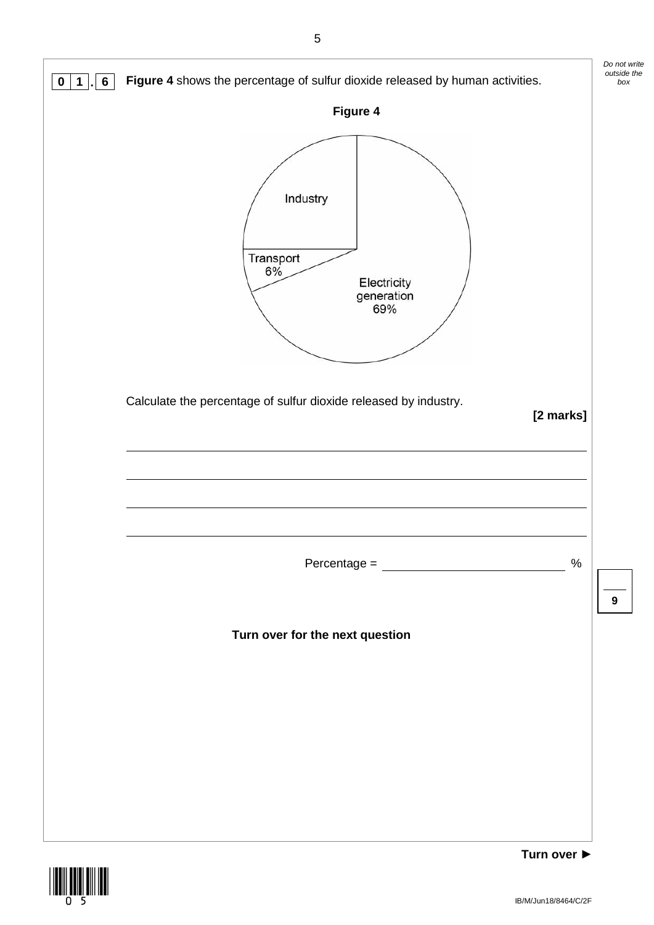

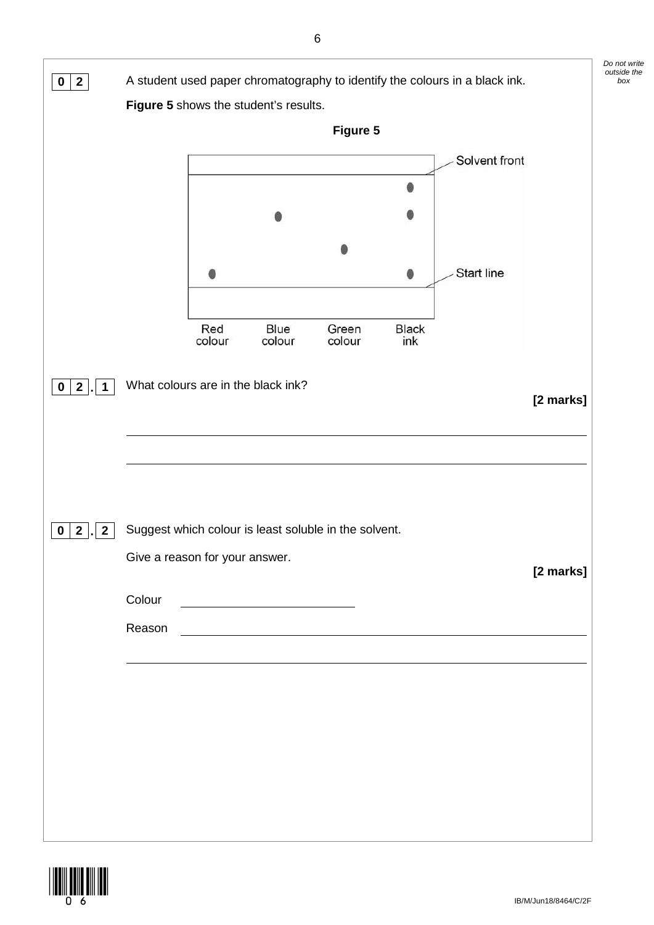| $\mathbf{2}$<br>$\mathbf 0$                           |                                    |               |                                                                                                                       |                 |                     | A student used paper chromatography to identify the colours in a black ink. |           | Do not write<br>outside the<br>box |
|-------------------------------------------------------|------------------------------------|---------------|-----------------------------------------------------------------------------------------------------------------------|-----------------|---------------------|-----------------------------------------------------------------------------|-----------|------------------------------------|
|                                                       |                                    |               | Figure 5 shows the student's results.                                                                                 | Figure 5        |                     |                                                                             |           |                                    |
|                                                       |                                    |               |                                                                                                                       |                 | 0                   | Solvent front                                                               |           |                                    |
|                                                       |                                    |               |                                                                                                                       |                 | 6                   |                                                                             |           |                                    |
|                                                       |                                    |               |                                                                                                                       |                 |                     | Start line                                                                  |           |                                    |
|                                                       |                                    |               |                                                                                                                       |                 | 0                   |                                                                             |           |                                    |
|                                                       |                                    | Red<br>colour | Blue<br>colour                                                                                                        | Green<br>colour | <b>Black</b><br>ink |                                                                             |           |                                    |
| $\overline{\mathbf{2}}$<br>$\mathbf 1$<br>$\mathbf 0$ | What colours are in the black ink? |               |                                                                                                                       |                 |                     |                                                                             | [2 marks] |                                    |
|                                                       |                                    |               |                                                                                                                       |                 |                     |                                                                             |           |                                    |
|                                                       |                                    |               |                                                                                                                       |                 |                     |                                                                             |           |                                    |
| $\overline{2}$<br>$\overline{2}$<br>$\mathbf{0}$      |                                    |               | Suggest which colour is least soluble in the solvent.                                                                 |                 |                     |                                                                             |           |                                    |
|                                                       | Give a reason for your answer.     |               |                                                                                                                       |                 |                     |                                                                             | [2 marks] |                                    |
|                                                       | Colour                             |               |                                                                                                                       |                 |                     |                                                                             |           |                                    |
|                                                       | Reason                             |               | <u>and the state of the state of the state of the state of the state of the state of the state of the state of th</u> |                 |                     |                                                                             |           |                                    |
|                                                       |                                    |               |                                                                                                                       |                 |                     |                                                                             |           |                                    |
|                                                       |                                    |               |                                                                                                                       |                 |                     |                                                                             |           |                                    |
|                                                       |                                    |               |                                                                                                                       |                 |                     |                                                                             |           |                                    |
|                                                       |                                    |               |                                                                                                                       |                 |                     |                                                                             |           |                                    |
|                                                       |                                    |               |                                                                                                                       |                 |                     |                                                                             |           |                                    |

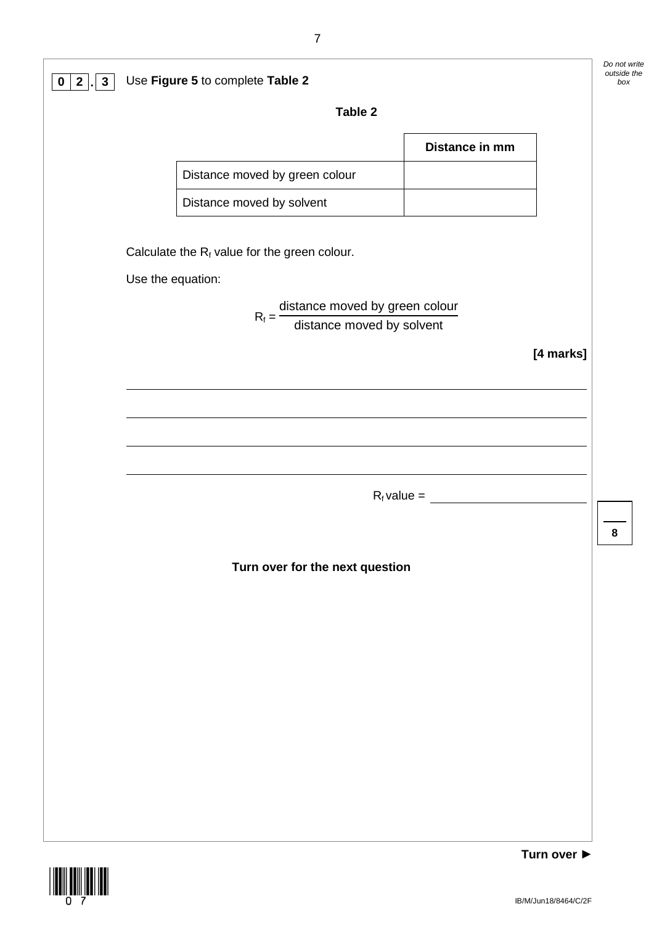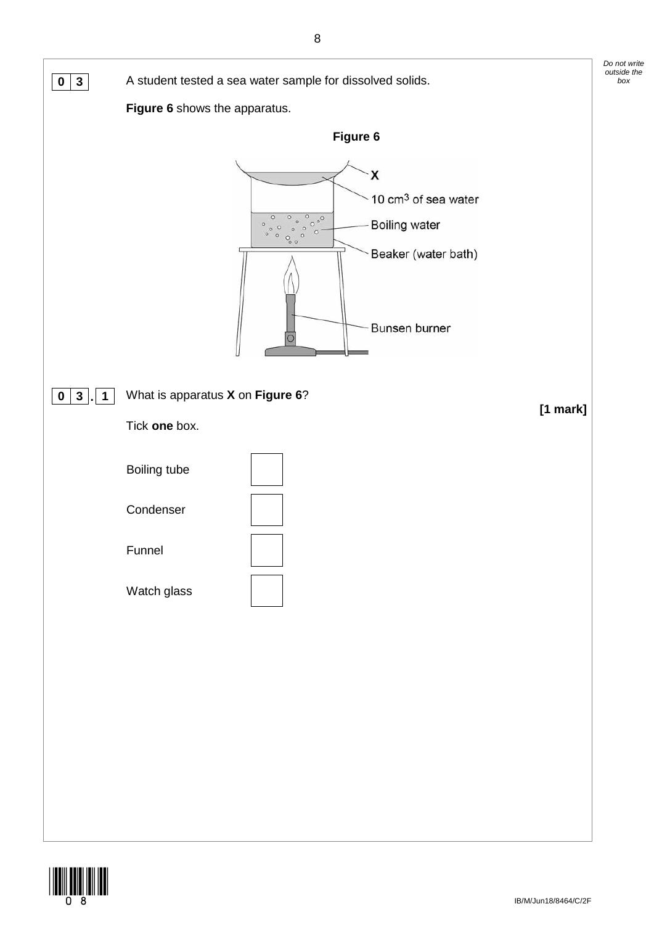

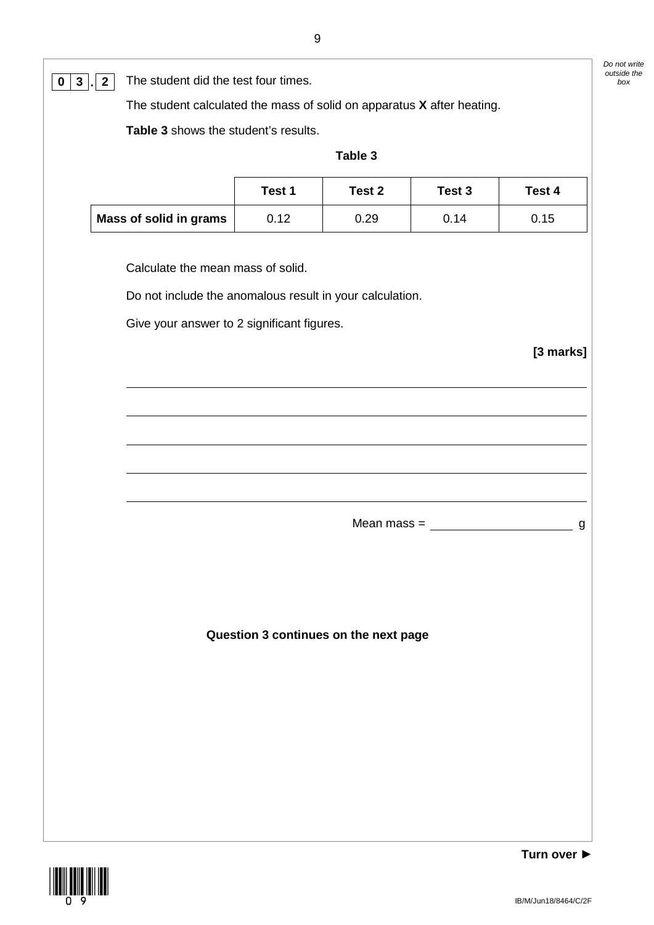$\boxed{0}$   $\boxed{3}$   $\boxed{2}$  The student did the test four times.

The student calculated the mass of solid on apparatus **X** after heating.

**Table 3** shows the student's results.

| л<br>۱<br>Ш<br>ι. |  |
|-------------------|--|
|-------------------|--|

|                               | Test 1 | Test 2 | Test 3 | Test 4 |
|-------------------------------|--------|--------|--------|--------|
| <b>Mass of solid in grams</b> | 0.12   | 0.29   | 0.14   | 0.15   |

Calculate the mean mass of solid.

Do not include the anomalous result in your calculation.

Give your answer to 2 significant figures.

**[3 marks]**

 $Mean mass =$  g

**Question 3 continues on the next page**



**Turn over ►**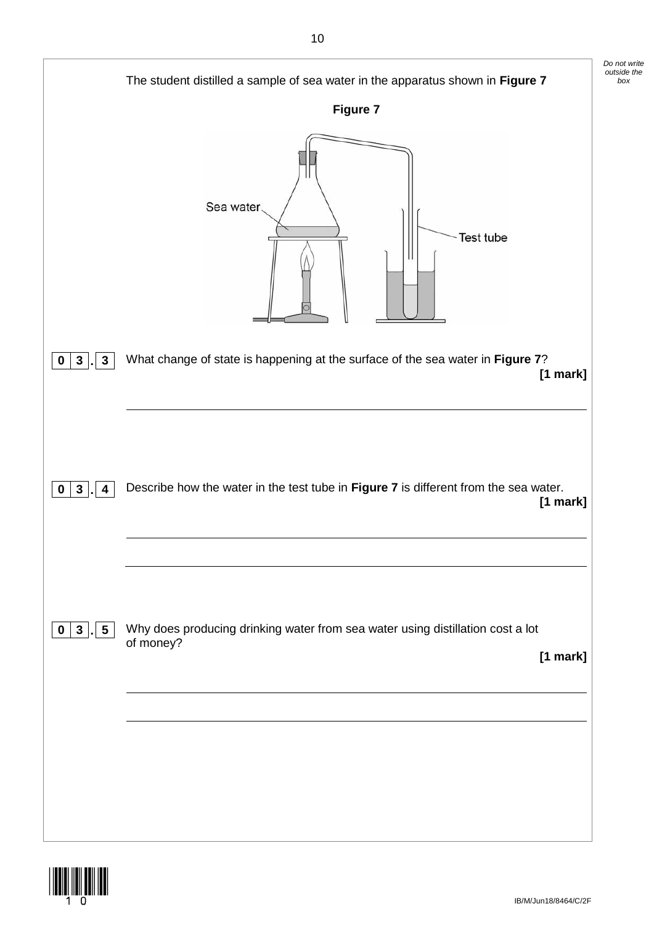|                                        | The student distilled a sample of sea water in the apparatus shown in Figure 7                          | Do not write<br>outside the<br>box |
|----------------------------------------|---------------------------------------------------------------------------------------------------------|------------------------------------|
|                                        | Figure 7                                                                                                |                                    |
|                                        | Sea water<br>Test tube                                                                                  |                                    |
| 3<br>$0 \mid 3 \mid$<br>$\blacksquare$ | What change of state is happening at the surface of the sea water in Figure 7?<br>$[1$ mark]            |                                    |
| $\mathbf{3}$<br>4<br>$\mathbf{0}$      | Describe how the water in the test tube in Figure 7 is different from the sea water.<br>[1 mark]        |                                    |
| 5 <sub>1</sub><br>$0 \mid 3 \mid$      | Why does producing drinking water from sea water using distillation cost a lot<br>of money?<br>[1 mark] |                                    |
|                                        |                                                                                                         |                                    |

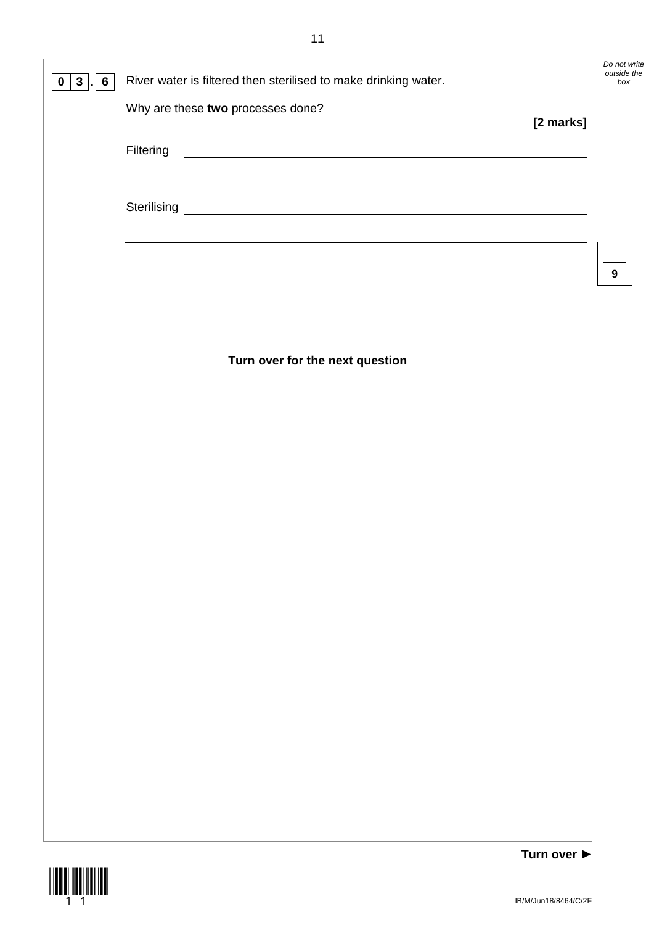| $6 \mid$<br>$\mathbf{3}$<br>0 | River water is filtered then sterilised to make drinking water.                                                                                                                                                                     | outside the<br>box |
|-------------------------------|-------------------------------------------------------------------------------------------------------------------------------------------------------------------------------------------------------------------------------------|--------------------|
|                               | Why are these two processes done?<br>[2 marks]                                                                                                                                                                                      |                    |
|                               | Filtering <u>experimental</u> and the contract of the contract of the contract of the contract of the contract of the contract of the contract of the contract of the contract of the contract of the contract of the contract of t |                    |
|                               | ,我们也不会有什么。""我们的人,我们也不会有什么?""我们的人,我们也不会有什么?""我们的人,我们也不会有什么?""我们的人,我们也不会有什么?""我们的人                                                                                                                                                    |                    |
|                               |                                                                                                                                                                                                                                     |                    |
|                               |                                                                                                                                                                                                                                     | $\boldsymbol{9}$   |
|                               |                                                                                                                                                                                                                                     |                    |
|                               | Turn over for the next question                                                                                                                                                                                                     |                    |
|                               |                                                                                                                                                                                                                                     |                    |
|                               |                                                                                                                                                                                                                                     |                    |
|                               |                                                                                                                                                                                                                                     |                    |
|                               |                                                                                                                                                                                                                                     |                    |
|                               |                                                                                                                                                                                                                                     |                    |
|                               |                                                                                                                                                                                                                                     |                    |
|                               |                                                                                                                                                                                                                                     |                    |
|                               |                                                                                                                                                                                                                                     |                    |
|                               |                                                                                                                                                                                                                                     |                    |
|                               |                                                                                                                                                                                                                                     |                    |
|                               |                                                                                                                                                                                                                                     |                    |
|                               |                                                                                                                                                                                                                                     |                    |
|                               | Turn over ▶                                                                                                                                                                                                                         |                    |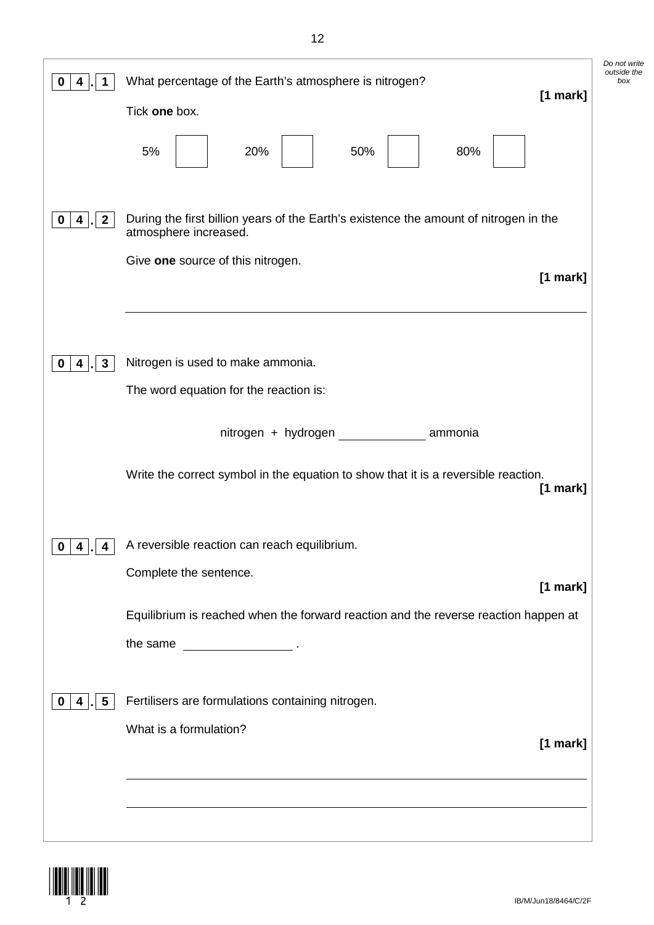|                                             | What percentage of the Earth's atmosphere is nitrogen?<br>[1 mark]<br>Tick one box.<br>5%<br>20%<br>80%<br>50%                                                  | Do not write<br>outside the<br>box |
|---------------------------------------------|-----------------------------------------------------------------------------------------------------------------------------------------------------------------|------------------------------------|
| $\mathbf{2}$<br>4<br>0                      | During the first billion years of the Earth's existence the amount of nitrogen in the<br>atmosphere increased.<br>Give one source of this nitrogen.<br>[1 mark] |                                    |
| $\mathbf{3}$<br>4<br>0                      | Nitrogen is used to make ammonia.<br>The word equation for the reaction is:<br>nitrogen + hydrogen<br>ammonia                                                   |                                    |
|                                             | Write the correct symbol in the equation to show that it is a reversible reaction.<br>[1 mark]                                                                  |                                    |
| $\mathbf 0$<br>$\overline{\mathbf{4}}$<br>4 | A reversible reaction can reach equilibrium.<br>Complete the sentence.<br>$[1$ mark]                                                                            |                                    |
|                                             | Equilibrium is reached when the forward reaction and the reverse reaction happen at<br>the same                                                                 |                                    |
| 5                                           | Fertilisers are formulations containing nitrogen.<br>What is a formulation?<br>[1 mark]                                                                         |                                    |
|                                             |                                                                                                                                                                 |                                    |

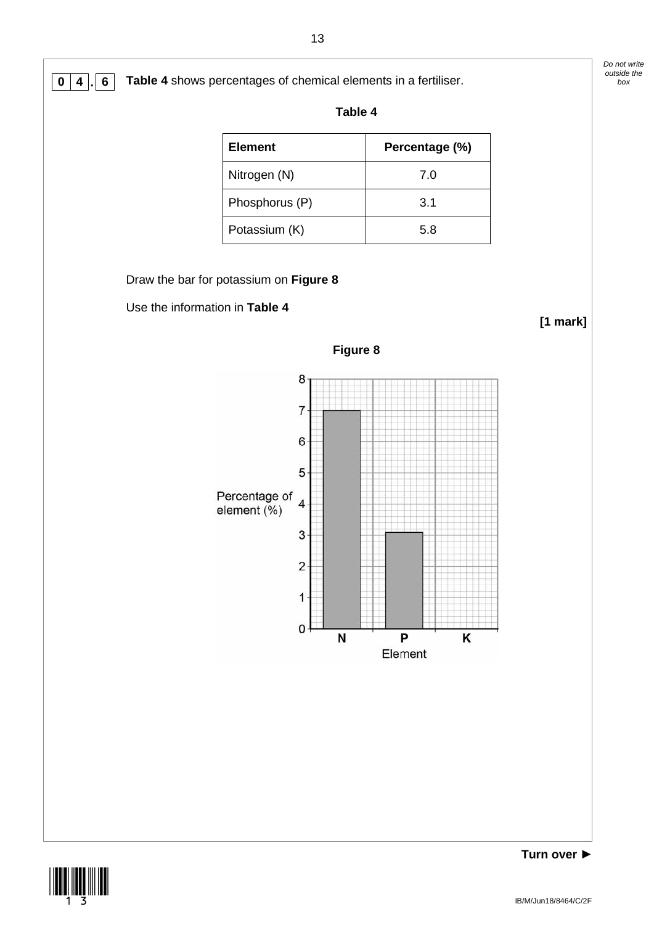*Do not write outside the* 



| <b>Element</b> | Percentage (%) |
|----------------|----------------|
| Nitrogen (N)   | 7.0            |
| Phosphorus (P) | 3.1            |
| Potassium (K)  | 5.8            |

Draw the bar for potassium on **Figure 8**

Use the information in **Table 4**



**[1 mark]**

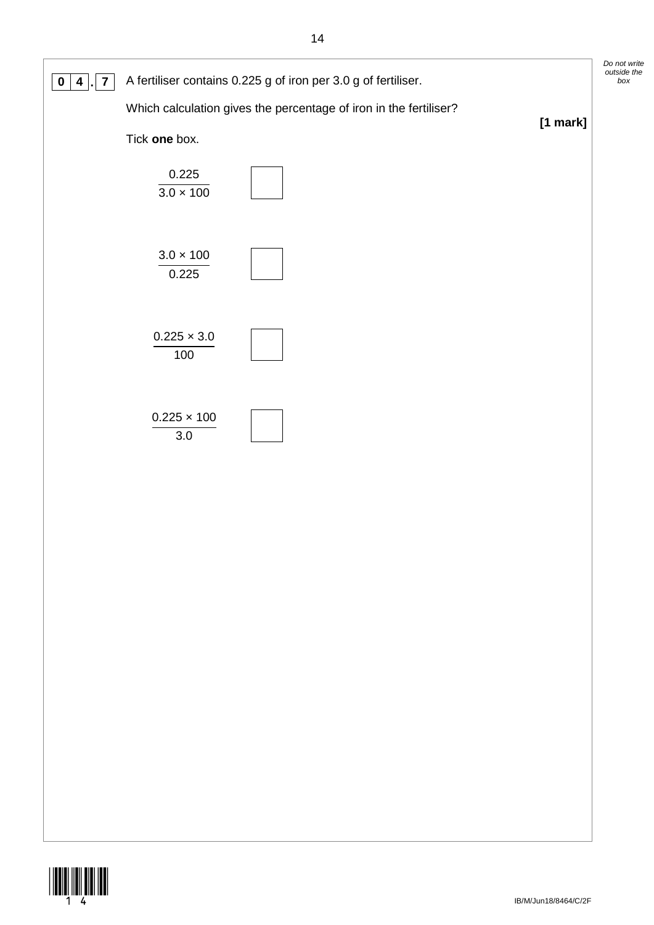

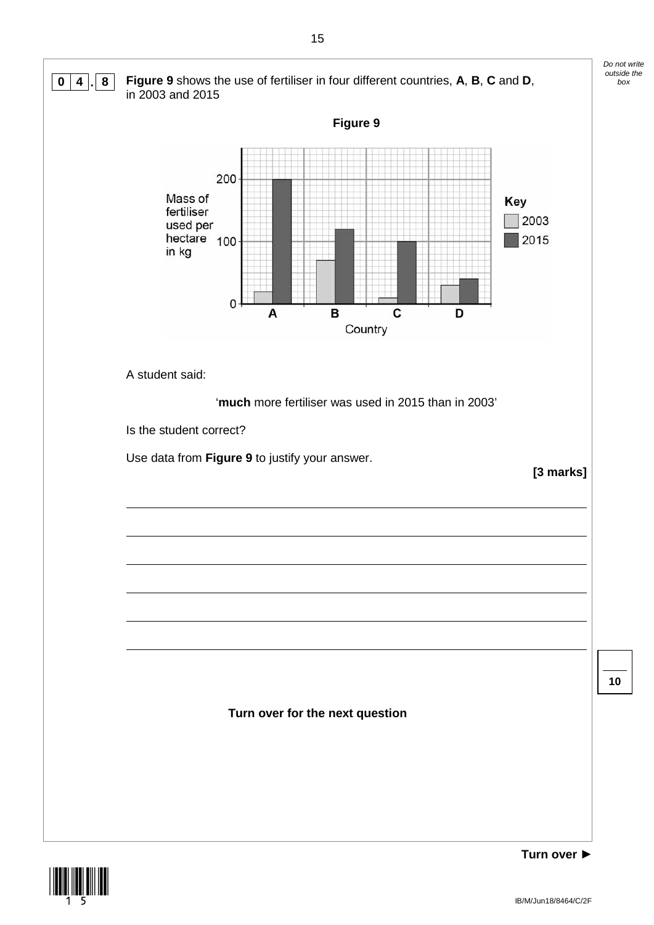



IB/M/Jun18/8464/C/2F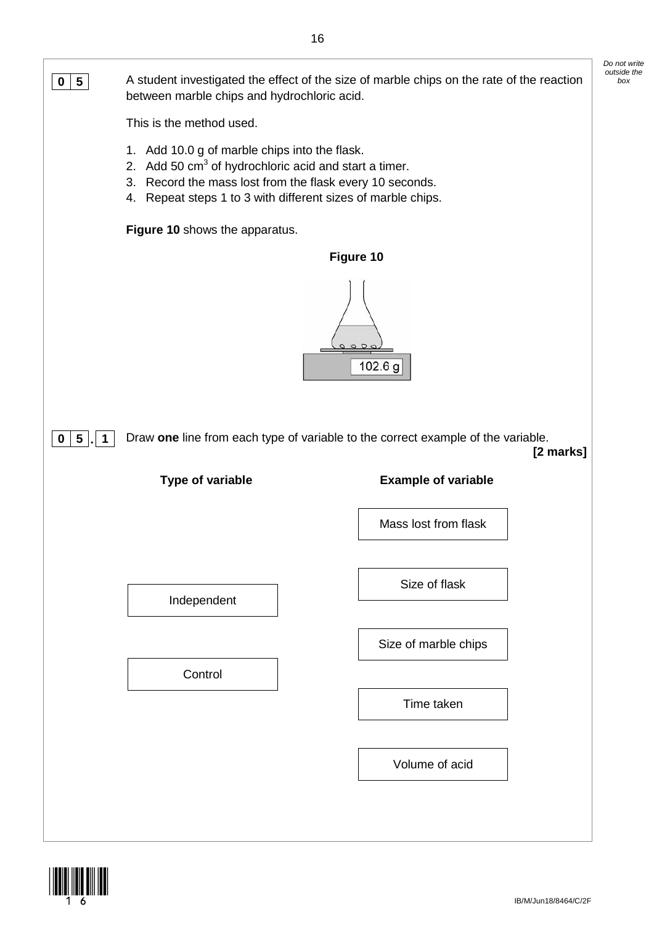

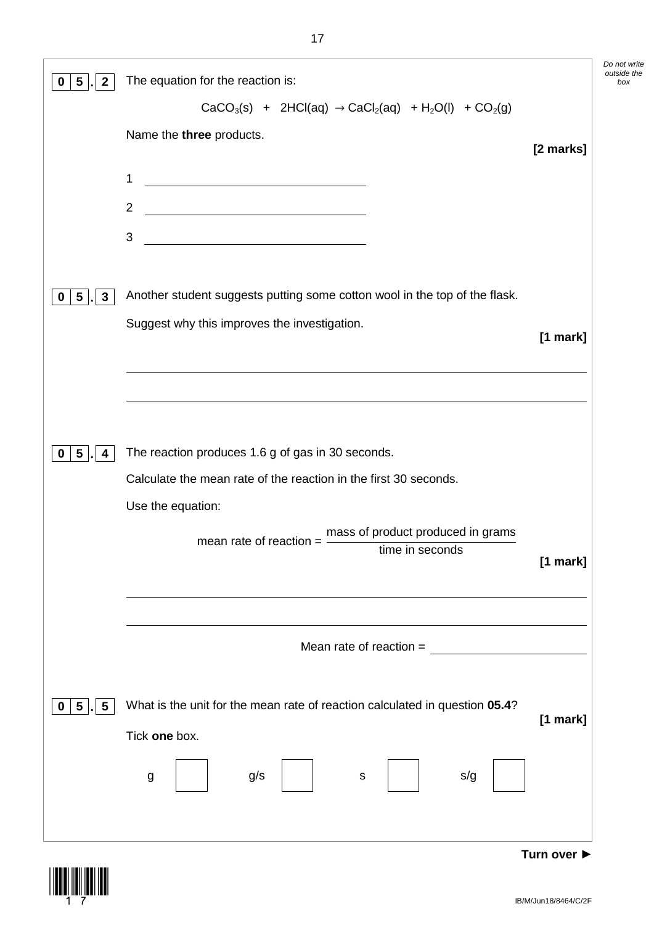| $5\phantom{.0}$<br>$\mathbf{2}$<br>$\bf{0}$ | The equation for the reaction is:                                                                                                                                                                                                                                                                                                            |           | Do not<br>outside<br>bo) |
|---------------------------------------------|----------------------------------------------------------------------------------------------------------------------------------------------------------------------------------------------------------------------------------------------------------------------------------------------------------------------------------------------|-----------|--------------------------|
|                                             | CaCO <sub>3</sub> (s) + 2HCl(aq) $\rightarrow$ CaCl <sub>2</sub> (aq) + H <sub>2</sub> O(l) + CO <sub>2</sub> (g)<br>Name the three products.                                                                                                                                                                                                | [2 marks] |                          |
|                                             | 1<br><u> 1980 - Johann Barn, mars an t-Amerikaansk ferske område og de formanner og de formanner og de formanner og de</u><br>$\overline{2}$<br><u> 1989 - Johann Stoff, fransk politik (d. 1989)</u><br><u> 1989 - Johann Barn, mars eta bat erroman erroman erroman erroman erroman erroman erroman erroman erroman err</u><br>$\mathsf 3$ |           |                          |
| $\mathbf{3}$<br>$5\phantom{.0}$<br>0        | Another student suggests putting some cotton wool in the top of the flask.<br>Suggest why this improves the investigation.                                                                                                                                                                                                                   | [1 mark]  |                          |
| $5\overline{)}$<br>0<br>4                   | The reaction produces 1.6 g of gas in 30 seconds.<br>Calculate the mean rate of the reaction in the first 30 seconds.<br>Use the equation:<br>mass of product produced in grams<br>mean rate of reaction = $\frac{m\alpha}{m}$<br>time in seconds                                                                                            | [1 mark]  |                          |
| 5<br>5                                      | Mean rate of reaction $=$<br>What is the unit for the mean rate of reaction calculated in question 05.4?<br>Tick one box.<br>g/s<br>s/g<br>g<br>S                                                                                                                                                                                            | [1 mark]  |                          |

**Turn over ►**

*Do not write outside the*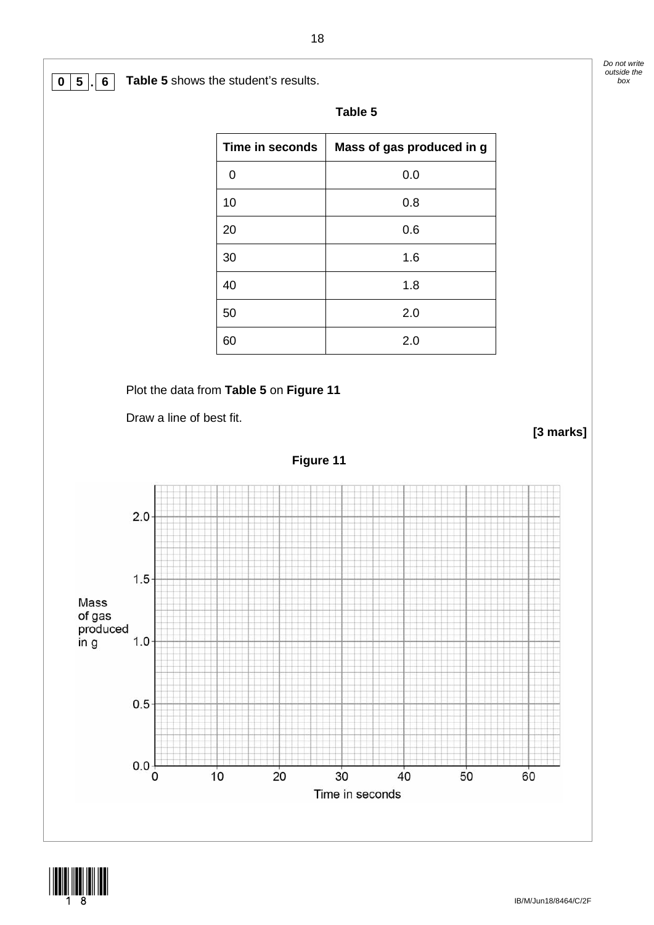$\prod_{18}$ 

**0 5 6 Table 5** shows the student's results.

| <b>Time in seconds</b> | Mass of gas produced in g |
|------------------------|---------------------------|
| 0                      | 0.0                       |
| 10                     | 0.8                       |
| 20                     | 0.6                       |
| 30                     | 1.6                       |
| 40                     | 1.8                       |
| 50                     | 2.0                       |
| 60                     | 2.0                       |

**Table 5**

Plot the data from **Table 5** on **Figure 11**

Draw a line of best fit.



IB/M/Jun18/8464/C/2F

**[3 marks]**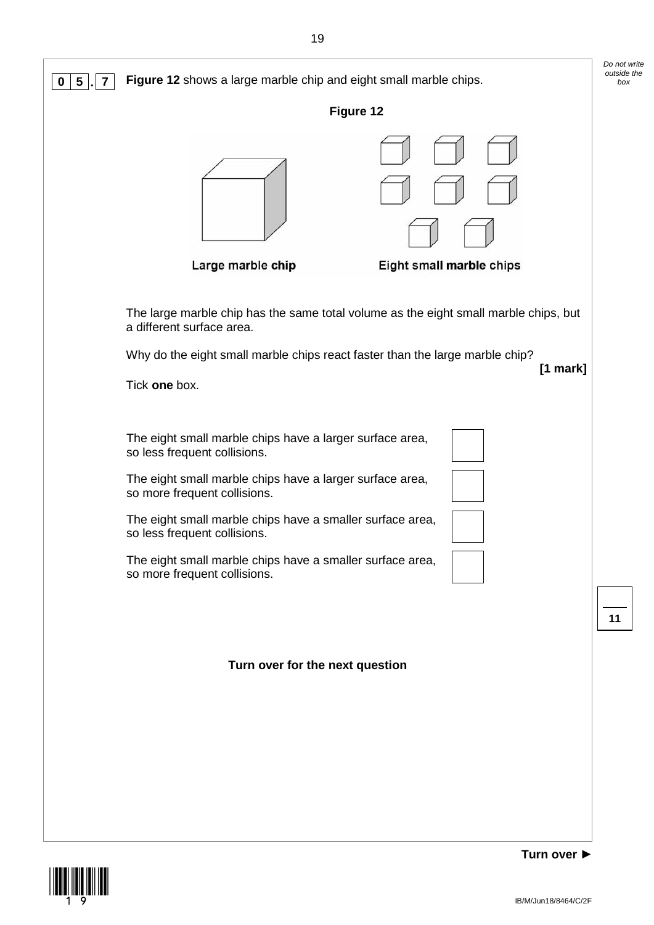

19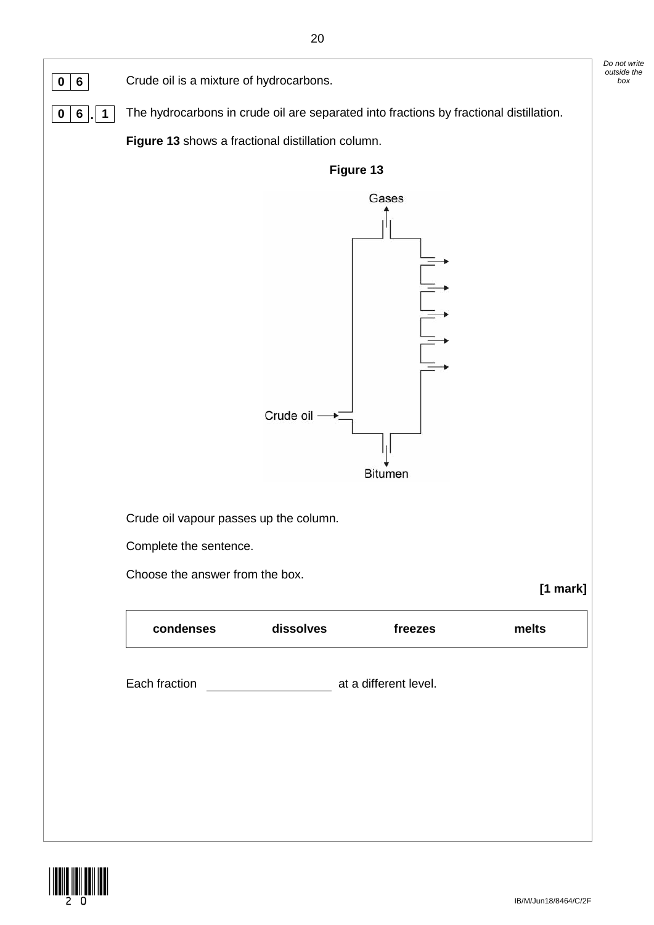

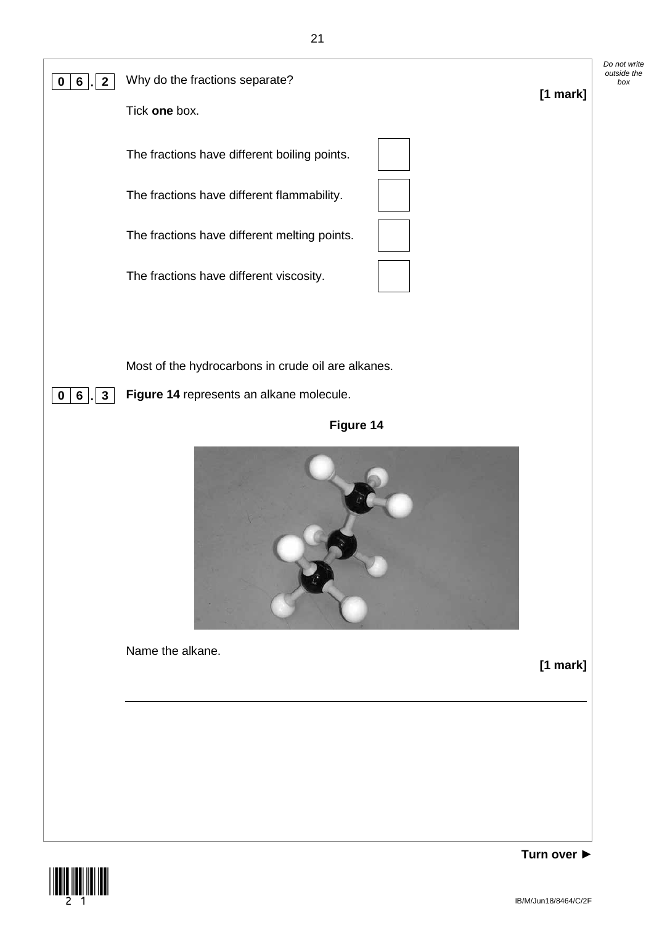

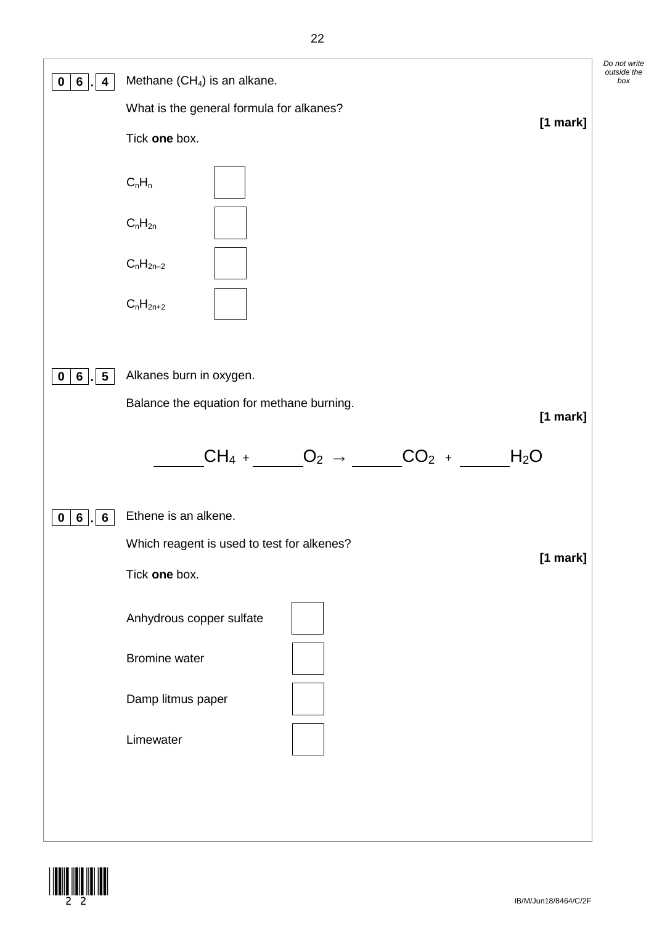

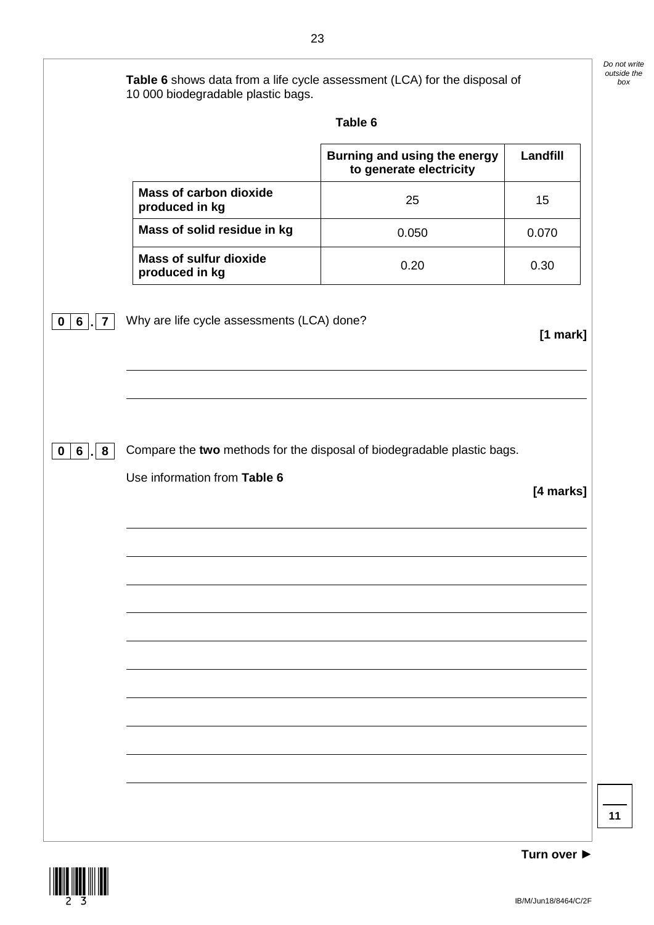|                |                                            | Table 6                                                                 |                       |
|----------------|--------------------------------------------|-------------------------------------------------------------------------|-----------------------|
|                |                                            | Burning and using the energy<br>to generate electricity                 | Landfill              |
| produced in kg | <b>Mass of carbon dioxide</b>              | 25                                                                      | 15                    |
|                | Mass of solid residue in kg                | 0.050                                                                   | 0.070                 |
| produced in kg | <b>Mass of sulfur dioxide</b>              | 0.20                                                                    | 0.30                  |
|                | Why are life cycle assessments (LCA) done? |                                                                         |                       |
|                | Use information from Table 6               | Compare the two methods for the disposal of biodegradable plastic bags. | [1 mark]<br>[4 marks] |
| 8              |                                            |                                                                         |                       |
|                |                                            |                                                                         |                       |
|                |                                            |                                                                         |                       |
|                |                                            |                                                                         |                       |
|                |                                            |                                                                         |                       |
|                |                                            |                                                                         |                       |

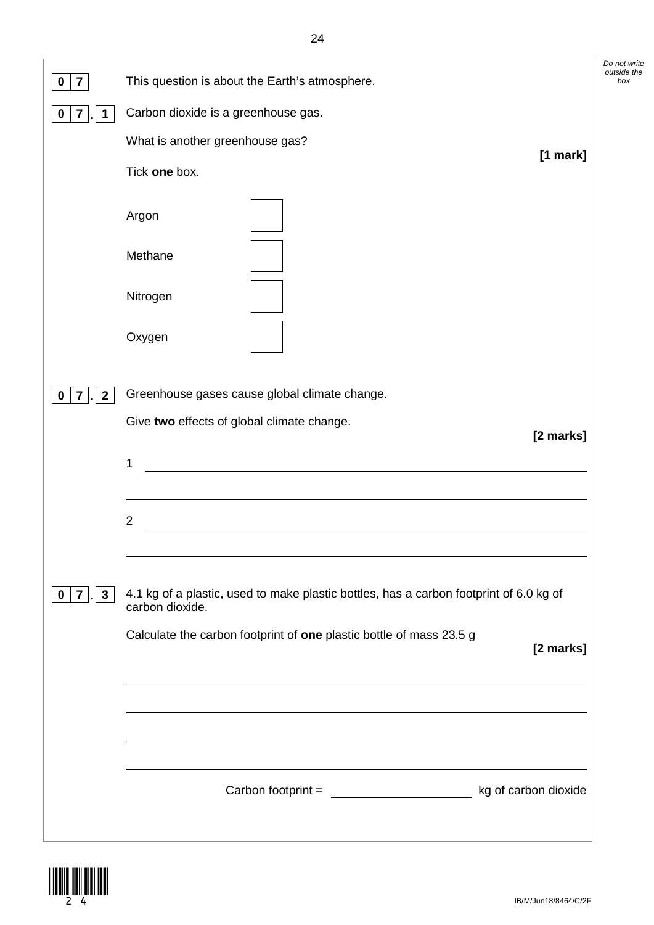| $\overline{\mathbf{r}}$<br>$\bf{0}$ | This question is about the Earth's atmosphere.                                                                         | Do not write<br>outside the<br>box |
|-------------------------------------|------------------------------------------------------------------------------------------------------------------------|------------------------------------|
| 0<br>7                              | Carbon dioxide is a greenhouse gas.                                                                                    |                                    |
|                                     | What is another greenhouse gas?<br>[1 mark]                                                                            |                                    |
|                                     | Tick one box.                                                                                                          |                                    |
|                                     | Argon                                                                                                                  |                                    |
|                                     | Methane                                                                                                                |                                    |
|                                     | Nitrogen                                                                                                               |                                    |
|                                     | Oxygen                                                                                                                 |                                    |
| $\boldsymbol{2}$<br>7<br>0          | Greenhouse gases cause global climate change.                                                                          |                                    |
|                                     | Give two effects of global climate change.<br>[2 marks]                                                                |                                    |
|                                     | 1<br><u> 1980 - John Stein, Amerikaansk politiker (</u>                                                                |                                    |
|                                     | $\overline{2}$                                                                                                         |                                    |
| $3\phantom{a}$<br><b>7</b>   .<br>0 | 4.1 kg of a plastic, used to make plastic bottles, has a carbon footprint of 6.0 kg of<br>carbon dioxide.              |                                    |
|                                     | Calculate the carbon footprint of one plastic bottle of mass 23.5 g<br>[2 marks]                                       |                                    |
|                                     | <u> 1989 - Johann Stoff, deutscher Stoffen und der Stoffen und der Stoffen und der Stoffen und der Stoffen und der</u> |                                    |
|                                     |                                                                                                                        |                                    |
|                                     | kg of carbon dioxide<br>Carbon footprint = $\sqrt{2\pi}$                                                               |                                    |

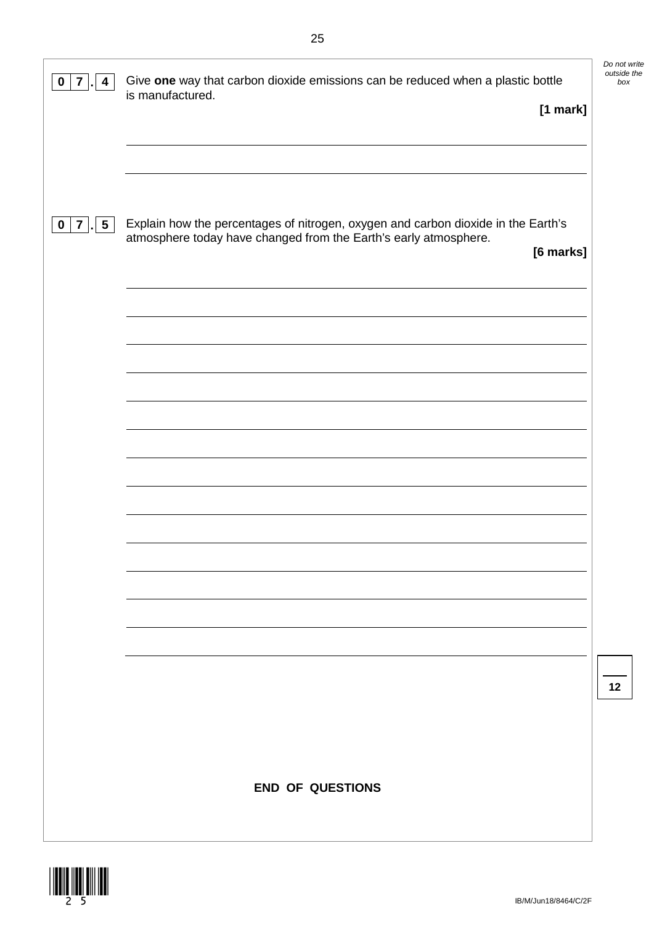| 4                            | Give one way that carbon dioxide emissions can be reduced when a plastic bottle<br>is manufactured.                                                   | $[1$ mark] | Do not write<br>outside the<br>box |
|------------------------------|-------------------------------------------------------------------------------------------------------------------------------------------------------|------------|------------------------------------|
| 5 <sub>1</sub><br>$0 \mid 7$ | Explain how the percentages of nitrogen, oxygen and carbon dioxide in the Earth's<br>atmosphere today have changed from the Earth's early atmosphere. | [6 marks]  |                                    |
|                              |                                                                                                                                                       |            |                                    |
|                              |                                                                                                                                                       |            |                                    |
|                              |                                                                                                                                                       |            |                                    |
|                              |                                                                                                                                                       |            | 12                                 |
|                              | <b>END OF QUESTIONS</b>                                                                                                                               |            |                                    |

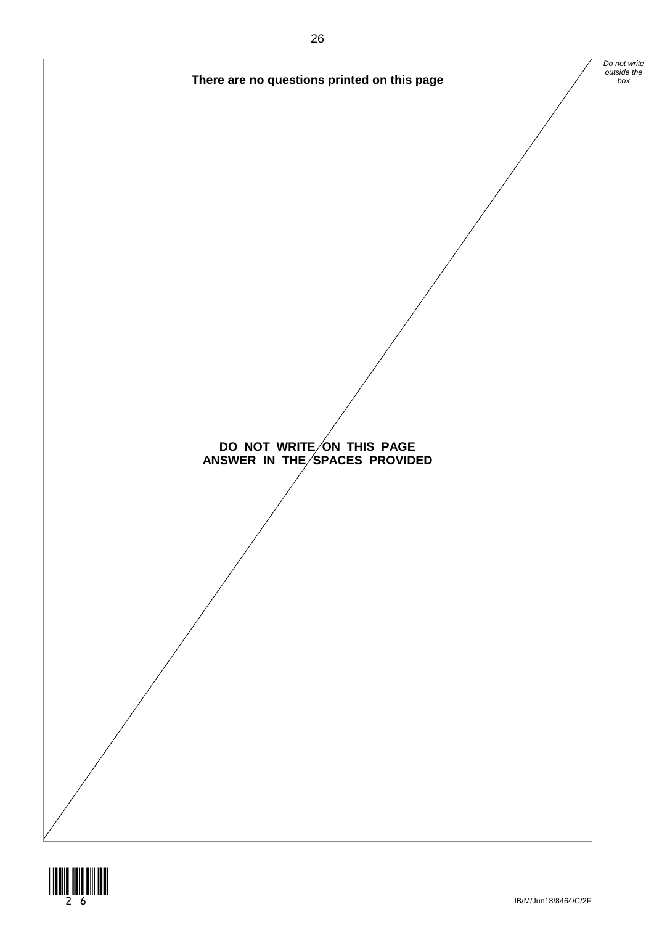

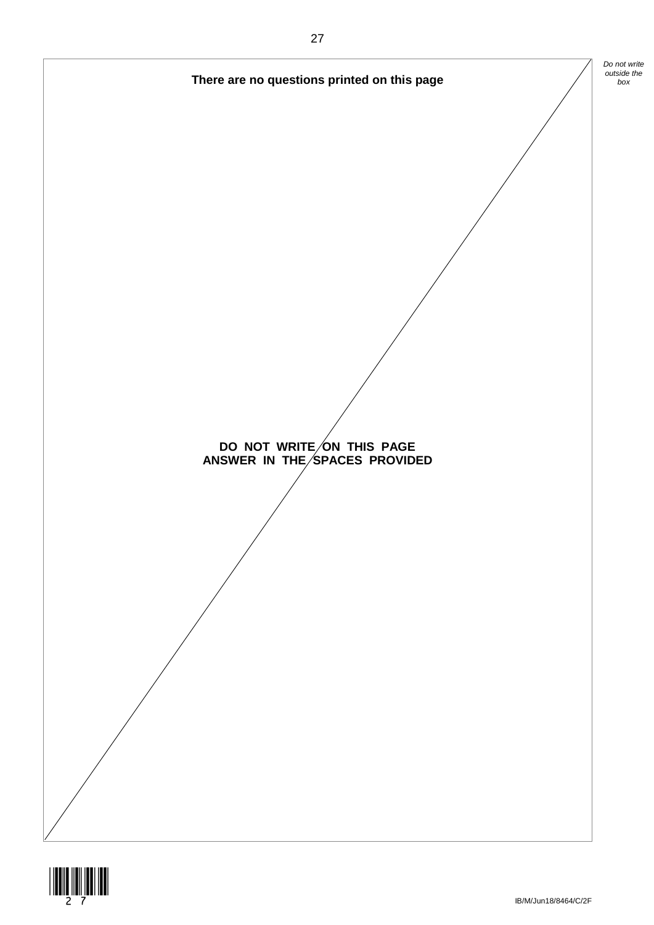



IB/M/Jun18/8464/C/2F